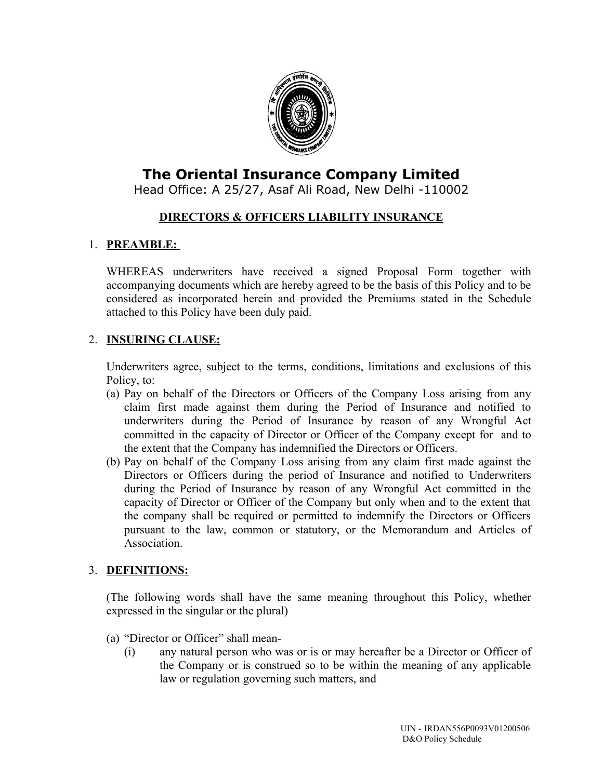

# **The Oriental Insurance Company Limited**

Head Office: A 25/27, Asaf Ali Road, New Delhi -110002

## **DIRECTORS & OFFICERS LIABILITY INSURANCE**

## 1. **PREAMBLE:**

WHEREAS underwriters have received a signed Proposal Form together with accompanying documents which are hereby agreed to be the basis of this Policy and to be considered as incorporated herein and provided the Premiums stated in the Schedule attached to this Policy have been duly paid.

## 2. **INSURING CLAUSE:**

Underwriters agree, subject to the terms, conditions, limitations and exclusions of this Policy, to:

- (a) Pay on behalf of the Directors or Officers of the Company Loss arising from any claim first made against them during the Period of Insurance and notified to underwriters during the Period of Insurance by reason of any Wrongful Act committed in the capacity of Director or Officer of the Company except for and to the extent that the Company has indemnified the Directors or Officers.
- (b) Pay on behalf of the Company Loss arising from any claim first made against the Directors or Officers during the period of Insurance and notified to Underwriters during the Period of Insurance by reason of any Wrongful Act committed in the capacity of Director or Officer of the Company but only when and to the extent that the company shall be required or permitted to indemnify the Directors or Officers pursuant to the law, common or statutory, or the Memorandum and Articles of Association.

#### 3. **DEFINITIONS:**

(The following words shall have the same meaning throughout this Policy, whether expressed in the singular or the plural)

- (a) "Director or Officer" shall mean-
	- (i) any natural person who was or is or may hereafter be a Director or Officer of the Company or is construed so to be within the meaning of any applicable law or regulation governing such matters, and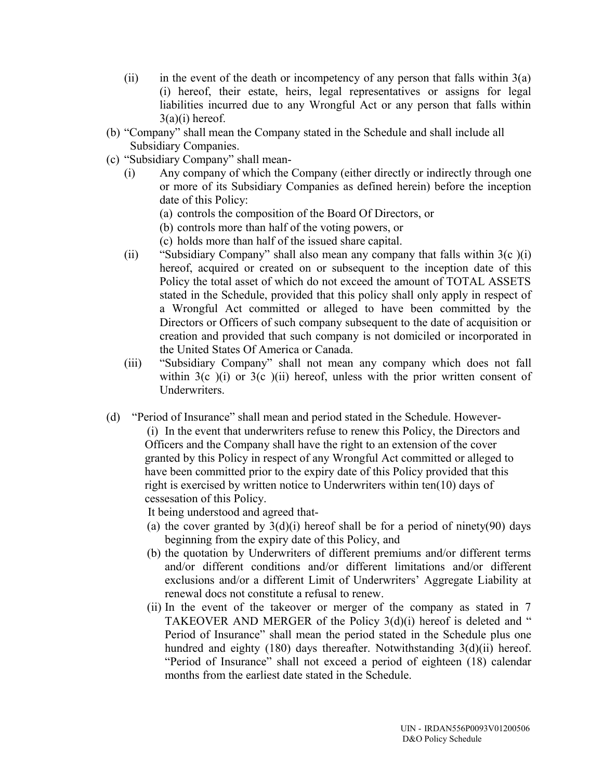- (ii) in the event of the death or incompetency of any person that falls within  $3(a)$ (i) hereof, their estate, heirs, legal representatives or assigns for legal liabilities incurred due to any Wrongful Act or any person that falls within  $3(a)(i)$  hereof.
- (b) "Company" shall mean the Company stated in the Schedule and shall include all Subsidiary Companies.
- (c) "Subsidiary Company" shall mean-
	- (i) Any company of which the Company (either directly or indirectly through one or more of its Subsidiary Companies as defined herein) before the inception date of this Policy:
		- (a) controls the composition of the Board Of Directors, or
		- (b) controls more than half of the voting powers, or
		- (c) holds more than half of the issued share capital.
	- (ii) "Subsidiary Company" shall also mean any company that falls within 3(c )(i) hereof, acquired or created on or subsequent to the inception date of this Policy the total asset of which do not exceed the amount of TOTAL ASSETS stated in the Schedule, provided that this policy shall only apply in respect of a Wrongful Act committed or alleged to have been committed by the Directors or Officers of such company subsequent to the date of acquisition or creation and provided that such company is not domiciled or incorporated in the United States Of America or Canada.
	- (iii) "Subsidiary Company" shall not mean any company which does not fall within  $3(c)$  (i) or  $3(c)$  (ii) hereof, unless with the prior written consent of Underwriters.
- (d) "Period of Insurance" shall mean and period stated in the Schedule. However-

(i) In the event that underwriters refuse to renew this Policy, the Directors and Officers and the Company shall have the right to an extension of the cover granted by this Policy in respect of any Wrongful Act committed or alleged to have been committed prior to the expiry date of this Policy provided that this right is exercised by written notice to Underwriters within ten(10) days of cessesation of this Policy.

It being understood and agreed that-

- (a) the cover granted by  $3(d)(i)$  hereof shall be for a period of ninety(90) days beginning from the expiry date of this Policy, and
- (b) the quotation by Underwriters of different premiums and/or different terms and/or different conditions and/or different limitations and/or different exclusions and/or a different Limit of Underwriters' Aggregate Liability at renewal docs not constitute a refusal to renew.
- (ii) In the event of the takeover or merger of the company as stated in 7 TAKEOVER AND MERGER of the Policy 3(d)(i) hereof is deleted and " Period of Insurance" shall mean the period stated in the Schedule plus one hundred and eighty (180) days thereafter. Notwithstanding 3(d)(ii) hereof. "Period of Insurance" shall not exceed a period of eighteen (18) calendar months from the earliest date stated in the Schedule.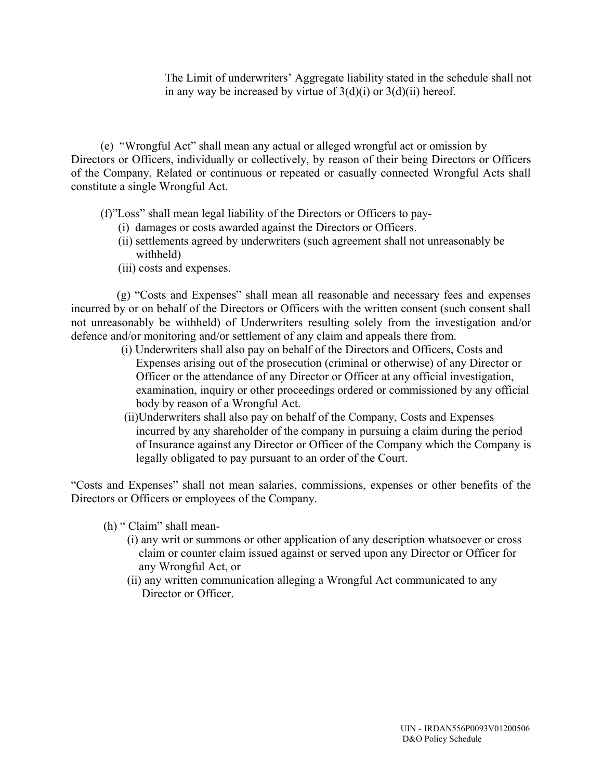The Limit of underwriters' Aggregate liability stated in the schedule shall not in any way be increased by virtue of  $3(d)(i)$  or  $3(d)(ii)$  hereof.

 (e) "Wrongful Act" shall mean any actual or alleged wrongful act or omission by Directors or Officers, individually or collectively, by reason of their being Directors or Officers of the Company, Related or continuous or repeated or casually connected Wrongful Acts shall constitute a single Wrongful Act.

(f)"Loss" shall mean legal liability of the Directors or Officers to pay-

- (i) damages or costs awarded against the Directors or Officers.
- (ii) settlements agreed by underwriters (such agreement shall not unreasonably be withheld)
- (iii) costs and expenses.

 (g) "Costs and Expenses" shall mean all reasonable and necessary fees and expenses incurred by or on behalf of the Directors or Officers with the written consent (such consent shall not unreasonably be withheld) of Underwriters resulting solely from the investigation and/or defence and/or monitoring and/or settlement of any claim and appeals there from.

- (i) Underwriters shall also pay on behalf of the Directors and Officers, Costs and Expenses arising out of the prosecution (criminal or otherwise) of any Director or Officer or the attendance of any Director or Officer at any official investigation, examination, inquiry or other proceedings ordered or commissioned by any official body by reason of a Wrongful Act.
- (ii)Underwriters shall also pay on behalf of the Company, Costs and Expenses incurred by any shareholder of the company in pursuing a claim during the period of Insurance against any Director or Officer of the Company which the Company is legally obligated to pay pursuant to an order of the Court.

"Costs and Expenses" shall not mean salaries, commissions, expenses or other benefits of the Directors or Officers or employees of the Company.

- (h) " Claim" shall mean-
	- (i) any writ or summons or other application of any description whatsoever or cross claim or counter claim issued against or served upon any Director or Officer for any Wrongful Act, or
	- (ii) any written communication alleging a Wrongful Act communicated to any Director or Officer.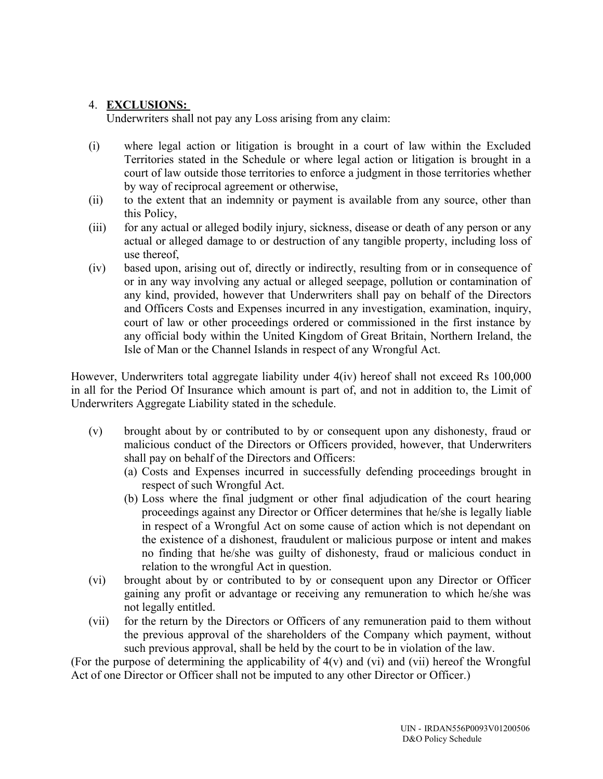#### 4. **EXCLUSIONS:**

Underwriters shall not pay any Loss arising from any claim:

- (i) where legal action or litigation is brought in a court of law within the Excluded Territories stated in the Schedule or where legal action or litigation is brought in a court of law outside those territories to enforce a judgment in those territories whether by way of reciprocal agreement or otherwise,
- (ii) to the extent that an indemnity or payment is available from any source, other than this Policy,
- (iii) for any actual or alleged bodily injury, sickness, disease or death of any person or any actual or alleged damage to or destruction of any tangible property, including loss of use thereof,
- (iv) based upon, arising out of, directly or indirectly, resulting from or in consequence of or in any way involving any actual or alleged seepage, pollution or contamination of any kind, provided, however that Underwriters shall pay on behalf of the Directors and Officers Costs and Expenses incurred in any investigation, examination, inquiry, court of law or other proceedings ordered or commissioned in the first instance by any official body within the United Kingdom of Great Britain, Northern Ireland, the Isle of Man or the Channel Islands in respect of any Wrongful Act.

However, Underwriters total aggregate liability under 4(iv) hereof shall not exceed Rs 100,000 in all for the Period Of Insurance which amount is part of, and not in addition to, the Limit of Underwriters Aggregate Liability stated in the schedule.

- (v) brought about by or contributed to by or consequent upon any dishonesty, fraud or malicious conduct of the Directors or Officers provided, however, that Underwriters shall pay on behalf of the Directors and Officers:
	- (a) Costs and Expenses incurred in successfully defending proceedings brought in respect of such Wrongful Act.
	- (b) Loss where the final judgment or other final adjudication of the court hearing proceedings against any Director or Officer determines that he/she is legally liable in respect of a Wrongful Act on some cause of action which is not dependant on the existence of a dishonest, fraudulent or malicious purpose or intent and makes no finding that he/she was guilty of dishonesty, fraud or malicious conduct in relation to the wrongful Act in question.
- (vi) brought about by or contributed to by or consequent upon any Director or Officer gaining any profit or advantage or receiving any remuneration to which he/she was not legally entitled.
- (vii) for the return by the Directors or Officers of any remuneration paid to them without the previous approval of the shareholders of the Company which payment, without such previous approval, shall be held by the court to be in violation of the law.

(For the purpose of determining the applicability of 4(v) and (vi) and (vii) hereof the Wrongful Act of one Director or Officer shall not be imputed to any other Director or Officer.)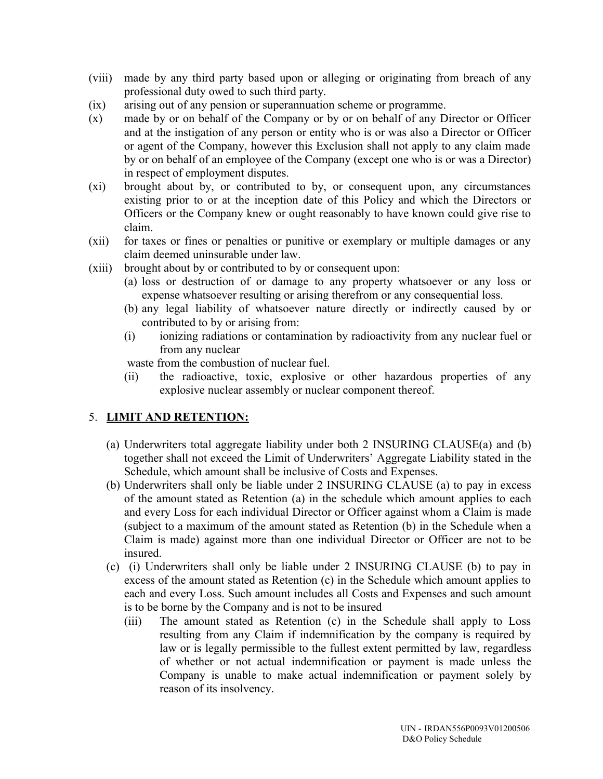- (viii) made by any third party based upon or alleging or originating from breach of any professional duty owed to such third party.
- (ix) arising out of any pension or superannuation scheme or programme.
- (x) made by or on behalf of the Company or by or on behalf of any Director or Officer and at the instigation of any person or entity who is or was also a Director or Officer or agent of the Company, however this Exclusion shall not apply to any claim made by or on behalf of an employee of the Company (except one who is or was a Director) in respect of employment disputes.
- (xi) brought about by, or contributed to by, or consequent upon, any circumstances existing prior to or at the inception date of this Policy and which the Directors or Officers or the Company knew or ought reasonably to have known could give rise to claim.
- (xii) for taxes or fines or penalties or punitive or exemplary or multiple damages or any claim deemed uninsurable under law.
- (xiii) brought about by or contributed to by or consequent upon:
	- (a) loss or destruction of or damage to any property whatsoever or any loss or expense whatsoever resulting or arising therefrom or any consequential loss.
	- (b) any legal liability of whatsoever nature directly or indirectly caused by or contributed to by or arising from:
	- (i) ionizing radiations or contamination by radioactivity from any nuclear fuel or from any nuclear

waste from the combustion of nuclear fuel.

(ii) the radioactive, toxic, explosive or other hazardous properties of any explosive nuclear assembly or nuclear component thereof.

#### 5. **LIMIT AND RETENTION:**

- (a) Underwriters total aggregate liability under both 2 INSURING CLAUSE(a) and (b) together shall not exceed the Limit of Underwriters' Aggregate Liability stated in the Schedule, which amount shall be inclusive of Costs and Expenses.
- (b) Underwriters shall only be liable under 2 INSURING CLAUSE (a) to pay in excess of the amount stated as Retention (a) in the schedule which amount applies to each and every Loss for each individual Director or Officer against whom a Claim is made (subject to a maximum of the amount stated as Retention (b) in the Schedule when a Claim is made) against more than one individual Director or Officer are not to be insured.
- (c) (i) Underwriters shall only be liable under 2 INSURING CLAUSE (b) to pay in excess of the amount stated as Retention (c) in the Schedule which amount applies to each and every Loss. Such amount includes all Costs and Expenses and such amount is to be borne by the Company and is not to be insured
	- (iii) The amount stated as Retention (c) in the Schedule shall apply to Loss resulting from any Claim if indemnification by the company is required by law or is legally permissible to the fullest extent permitted by law, regardless of whether or not actual indemnification or payment is made unless the Company is unable to make actual indemnification or payment solely by reason of its insolvency.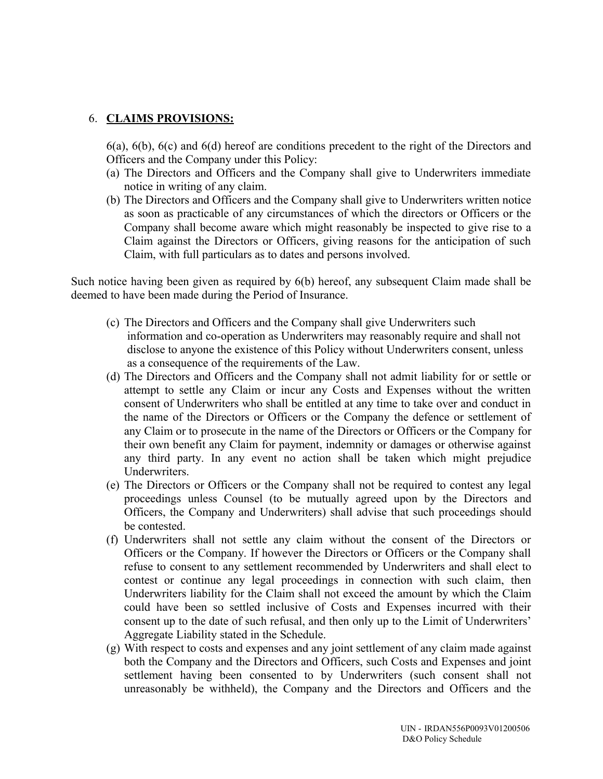#### 6. **CLAIMS PROVISIONS:**

6(a), 6(b), 6(c) and 6(d) hereof are conditions precedent to the right of the Directors and Officers and the Company under this Policy:

- (a) The Directors and Officers and the Company shall give to Underwriters immediate notice in writing of any claim.
- (b) The Directors and Officers and the Company shall give to Underwriters written notice as soon as practicable of any circumstances of which the directors or Officers or the Company shall become aware which might reasonably be inspected to give rise to a Claim against the Directors or Officers, giving reasons for the anticipation of such Claim, with full particulars as to dates and persons involved.

Such notice having been given as required by 6(b) hereof, any subsequent Claim made shall be deemed to have been made during the Period of Insurance.

- (c) The Directors and Officers and the Company shall give Underwriters such information and co-operation as Underwriters may reasonably require and shall not disclose to anyone the existence of this Policy without Underwriters consent, unless as a consequence of the requirements of the Law.
- (d) The Directors and Officers and the Company shall not admit liability for or settle or attempt to settle any Claim or incur any Costs and Expenses without the written consent of Underwriters who shall be entitled at any time to take over and conduct in the name of the Directors or Officers or the Company the defence or settlement of any Claim or to prosecute in the name of the Directors or Officers or the Company for their own benefit any Claim for payment, indemnity or damages or otherwise against any third party. In any event no action shall be taken which might prejudice Underwriters.
- (e) The Directors or Officers or the Company shall not be required to contest any legal proceedings unless Counsel (to be mutually agreed upon by the Directors and Officers, the Company and Underwriters) shall advise that such proceedings should be contested.
- (f) Underwriters shall not settle any claim without the consent of the Directors or Officers or the Company. If however the Directors or Officers or the Company shall refuse to consent to any settlement recommended by Underwriters and shall elect to contest or continue any legal proceedings in connection with such claim, then Underwriters liability for the Claim shall not exceed the amount by which the Claim could have been so settled inclusive of Costs and Expenses incurred with their consent up to the date of such refusal, and then only up to the Limit of Underwriters' Aggregate Liability stated in the Schedule.
- (g) With respect to costs and expenses and any joint settlement of any claim made against both the Company and the Directors and Officers, such Costs and Expenses and joint settlement having been consented to by Underwriters (such consent shall not unreasonably be withheld), the Company and the Directors and Officers and the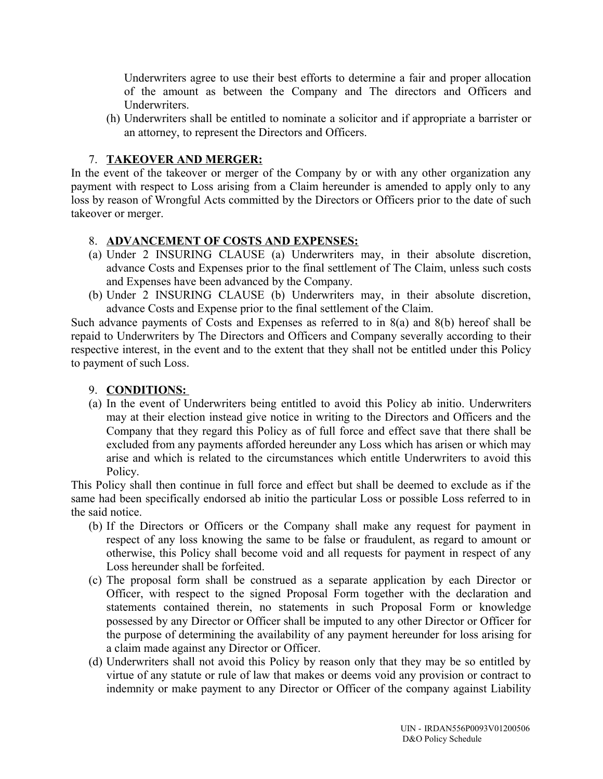Underwriters agree to use their best efforts to determine a fair and proper allocation of the amount as between the Company and The directors and Officers and Underwriters.

(h) Underwriters shall be entitled to nominate a solicitor and if appropriate a barrister or an attorney, to represent the Directors and Officers.

#### 7. **TAKEOVER AND MERGER:**

In the event of the takeover or merger of the Company by or with any other organization any payment with respect to Loss arising from a Claim hereunder is amended to apply only to any loss by reason of Wrongful Acts committed by the Directors or Officers prior to the date of such takeover or merger.

## 8. **ADVANCEMENT OF COSTS AND EXPENSES:**

- (a) Under 2 INSURING CLAUSE (a) Underwriters may, in their absolute discretion, advance Costs and Expenses prior to the final settlement of The Claim, unless such costs and Expenses have been advanced by the Company.
- (b) Under 2 INSURING CLAUSE (b) Underwriters may, in their absolute discretion, advance Costs and Expense prior to the final settlement of the Claim.

Such advance payments of Costs and Expenses as referred to in 8(a) and 8(b) hereof shall be repaid to Underwriters by The Directors and Officers and Company severally according to their respective interest, in the event and to the extent that they shall not be entitled under this Policy to payment of such Loss.

#### 9. **CONDITIONS:**

(a) In the event of Underwriters being entitled to avoid this Policy ab initio. Underwriters may at their election instead give notice in writing to the Directors and Officers and the Company that they regard this Policy as of full force and effect save that there shall be excluded from any payments afforded hereunder any Loss which has arisen or which may arise and which is related to the circumstances which entitle Underwriters to avoid this Policy.

This Policy shall then continue in full force and effect but shall be deemed to exclude as if the same had been specifically endorsed ab initio the particular Loss or possible Loss referred to in the said notice.

- (b) If the Directors or Officers or the Company shall make any request for payment in respect of any loss knowing the same to be false or fraudulent, as regard to amount or otherwise, this Policy shall become void and all requests for payment in respect of any Loss hereunder shall be forfeited.
- (c) The proposal form shall be construed as a separate application by each Director or Officer, with respect to the signed Proposal Form together with the declaration and statements contained therein, no statements in such Proposal Form or knowledge possessed by any Director or Officer shall be imputed to any other Director or Officer for the purpose of determining the availability of any payment hereunder for loss arising for a claim made against any Director or Officer.
- (d) Underwriters shall not avoid this Policy by reason only that they may be so entitled by virtue of any statute or rule of law that makes or deems void any provision or contract to indemnity or make payment to any Director or Officer of the company against Liability